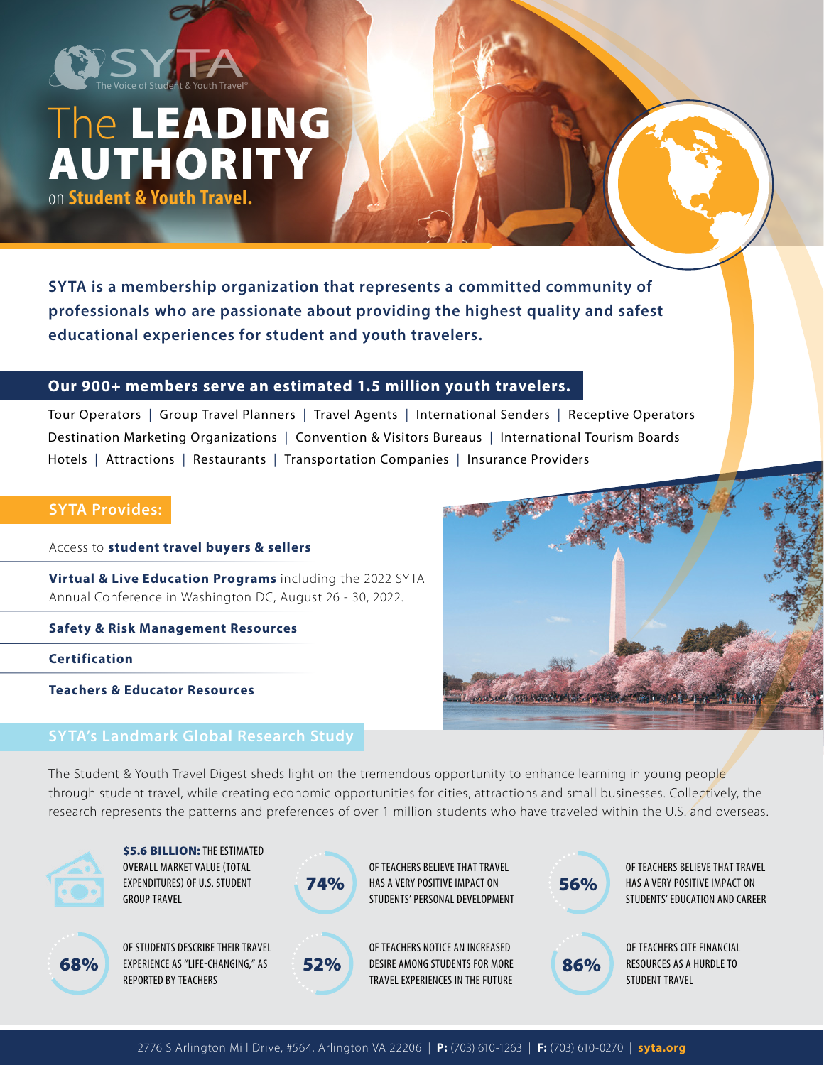

# The LEADING AUTHORITY on **Student & Youth Travel.**

**SYTA is a membership organization that represents a committed community of professionals who are passionate about providing the highest quality and safest educational experiences for student and youth travelers.** 

### **Our 900+ members serve an estimated 1.5 million youth travelers.**

Tour Operators | Group Travel Planners | Travel Agents | International Senders | Receptive Operators Destination Marketing Organizations | Convention & Visitors Bureaus | International Tourism Boards Hotels | Attractions | Restaurants | Transportation Companies | Insurance Providers

### **SYTA Provides:**

Access to **student travel buyers & sellers**

**Virtual & Live Education Programs** including the 2022 SYTA Annual Conference in Washington DC, August 26 - 30, 2022.

**Safety & Risk Management Resources**

**Certification**

**Teachers & Educator Resources**

# **SYTA's Landmark Global Research Study**

Il Mobile in wath the path of the state

The Student & Youth Travel Digest sheds light on the tremendous opportunity to enhance learning in young people through student travel, while creating economic opportunities for cities, attractions and small businesses. Collectively, the research represents the patterns and preferences of over 1 million students who have traveled within the U.S. and overseas.



**\$5.6 BILLION: THE ESTIMATED** OVERALL MARKET VALUE (TOTAL EXPENDITURES) OF U.S. STUDENT GROUP TRAVEL



OF STUDENTS DESCRIBE THEIR TRAVEL REPORTED BY TEACHERS



52%

**74%** HAS A VERY POSITIVE IMPACT ON **56%** OF TEACHERS BELIEVE THAT TRAVEL STUDENTS' PERSONAL DEVELOPMENT

OF TEACHERS NOTICE AN INCREASED DESIRE AMONG STUDENTS FOR MORE TRAVEL EXPERIENCES IN THE FUTURE  $\left(68\% \right)$  experience as "life-changing," as  $\left(52\% \right)$  desire among students for more  $\left(86\% \right)$ 



OF TEACHERS BELIEVE THAT TRAVEL HAS A VERY POSITIVE IMPACT ON STUDENTS' EDUCATION AND CAREER



OF TEACHERS CITE FINANCIAL RESOURCES AS A HURDLE TO STUDENT TRAVEL